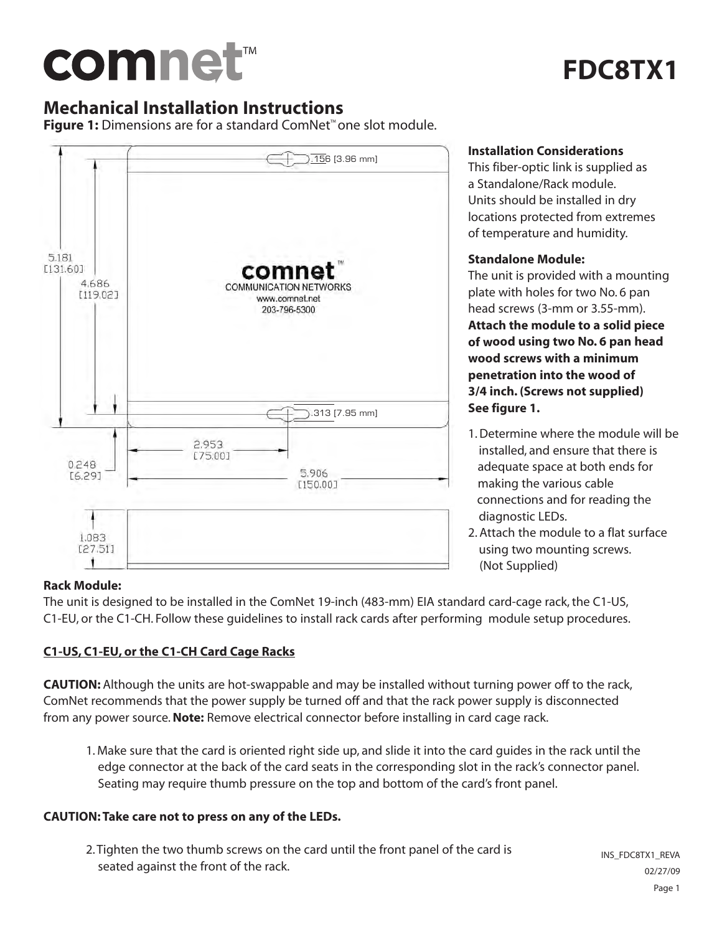# comnet<sup>™</sup>

# **FDC8TX1**

### **Mechanical Installation Instructions**

**Figure 1:** Dimensions are for a standard ComNet™ one slot module.



#### **Installation Considerations**

This fiber-optic link is supplied as a Standalone/Rack module. Units should be installed in dry locations protected from extremes of temperature and humidity.

#### **Standalone Module:**

The unit is provided with a mounting plate with holes for two No. 6 pan head screws (3-mm or 3.55-mm). **Attach the module to a solid piece of wood using two No. 6 pan head wood screws with a minimum penetration into the wood of 3/4 inch. (Screws not supplied) See figure 1.**

- 1. Determine where the module will be installed, and ensure that there is adequate space at both ends for making the various cable connections and for reading the diagnostic LEDs.
- 2. Attach the module to a flat surface using two mounting screws. (Not Supplied)

#### **Rack Module:**

The unit is designed to be installed in the ComNet 19-inch (483-mm) EIA standard card-cage rack, the C1-US, C1-EU, or the C1-CH. Follow these guidelines to install rack cards after performing module setup procedures.

#### **C1-US, C1-EU, or the C1-CH Card Cage Racks**

**CAUTION:** Although the units are hot-swappable and may be installed without turning power off to the rack, ComNet recommends that the power supply be turned off and that the rack power supply is disconnected from any power source.**Note:** Remove electrical connector before installing in card cage rack.

1. Make sure that the card is oriented right side up, and slide it into the card guides in the rack until the edge connector at the back of the card seats in the corresponding slot in the rack's connector panel. Seating may require thumb pressure on the top and bottom of the card's front panel.

#### **CAUTION: Take care not to press on any of the LEDs.**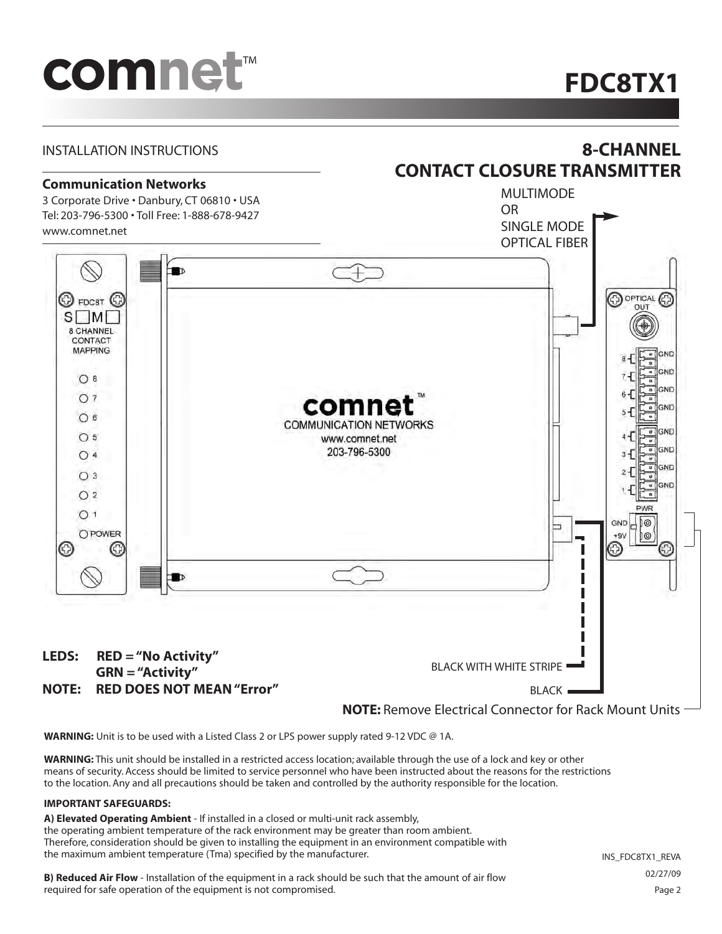# comnet<sup>™</sup>

## **FDC8TX1**



**WARNING:** Unit is to be used with a Listed Class 2 or LPS power supply rated 9-12 VDC @ 1A.

**WARNING:** This unit should be installed in a restricted access location; available through the use of a lock and key or other means of security. Access should be limited to service personnel who have been instructed about the reasons for the restrictions to the location. Any and all precautions should be taken and controlled by the authority responsible for the location.

#### **IMPORTANT SAFEGUARDS:**

**A) Elevated Operating Ambient** - If installed in a closed or multi-unit rack assembly, the operating ambient temperature of the rack environment may be greater than room ambient. Therefore, consideration should be given to installing the equipment in an environment compatible with the maximum ambient temperature (Tma) specified by the manufacturer.

**B) Reduced Air Flow** - Installation of the equipment in a rack should be such that the amount of air flow required for safe operation of the equipment is not compromised.

INS\_FDC8TX1\_REVA 02/27/09 Page 2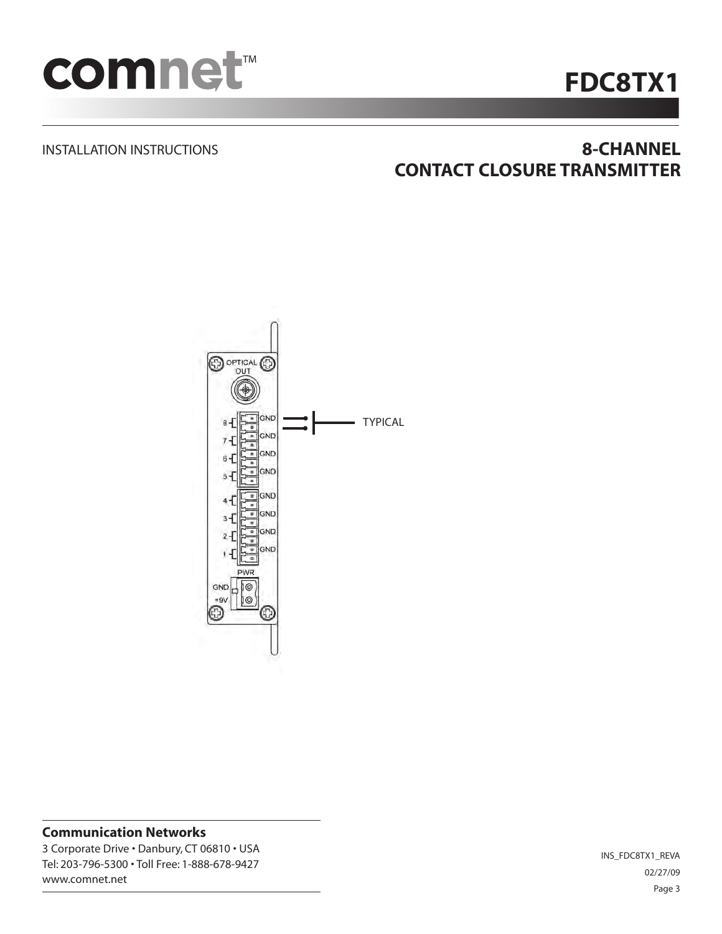

# **FDC8TX1**

#### INSTALLATION INSTRUCTIONS

## **8-CHANNEL CONTACT CLOSURE TRANSMITTER**



#### **Communication Networks**

3 Corporate Drive • Danbury, CT 06810 • USA Tel: 203-796-5300 • Toll Free: 1-888-678-9427 www.comnet.net

INS\_FDC8TX1\_REVA 02/27/09 Page 3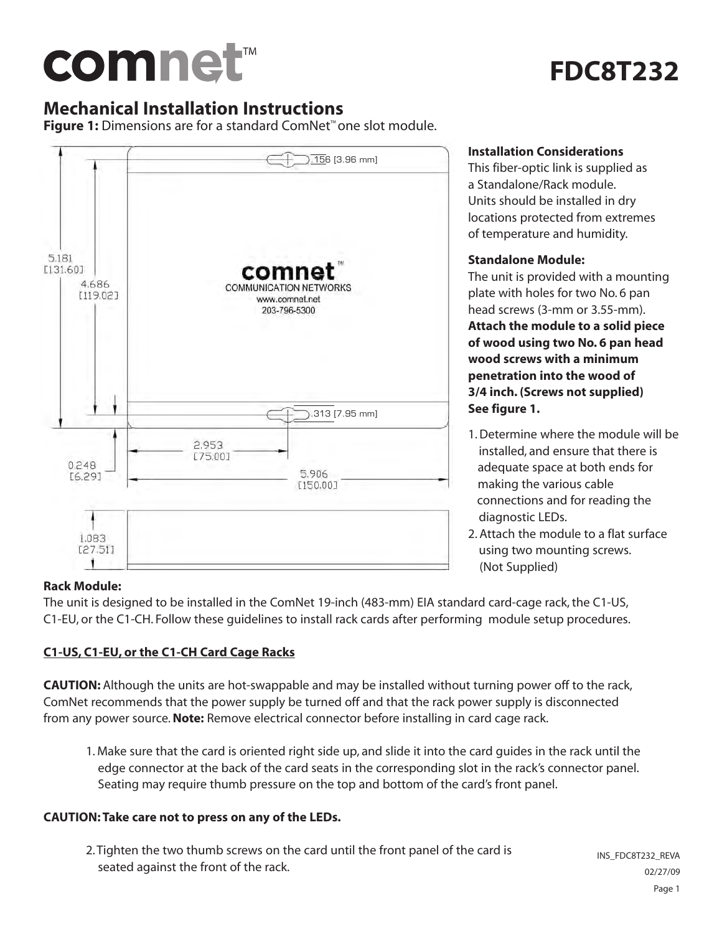# comnet™

# **FDC8T232**

## **Mechanical Installation Instructions**

**Figure 1:** Dimensions are for a standard ComNet™ one slot module.



#### **Installation Considerations**

This fiber-optic link is supplied as a Standalone/Rack module. Units should be installed in dry locations protected from extremes of temperature and humidity.

#### **Standalone Module:**

The unit is provided with a mounting plate with holes for two No. 6 pan head screws (3-mm or 3.55-mm).

**Attach the module to a solid piece of wood using two No. 6 pan head wood screws with a minimum penetration into the wood of 3/4 inch. (Screws not supplied) See figure 1.**

- 1. Determine where the module will be installed, and ensure that there is adequate space at both ends for making the various cable connections and for reading the diagnostic LEDs.
- 2. Attach the module to a flat surface using two mounting screws. (Not Supplied)

#### **Rack Module:**

The unit is designed to be installed in the ComNet 19-inch (483-mm) EIA standard card-cage rack, the C1-US, C1-EU, or the C1-CH. Follow these guidelines to install rack cards after performing module setup procedures.

#### **C1-US, C1-EU, or the C1-CH Card Cage Racks**

**CAUTION:** Although the units are hot-swappable and may be installed without turning power off to the rack, ComNet recommends that the power supply be turned off and that the rack power supply is disconnected from any power source.**Note:** Remove electrical connector before installing in card cage rack.

1. Make sure that the card is oriented right side up, and slide it into the card guides in the rack until the edge connector at the back of the card seats in the corresponding slot in the rack's connector panel. Seating may require thumb pressure on the top and bottom of the card's front panel.

#### **CAUTION: Take care not to press on any of the LEDs.**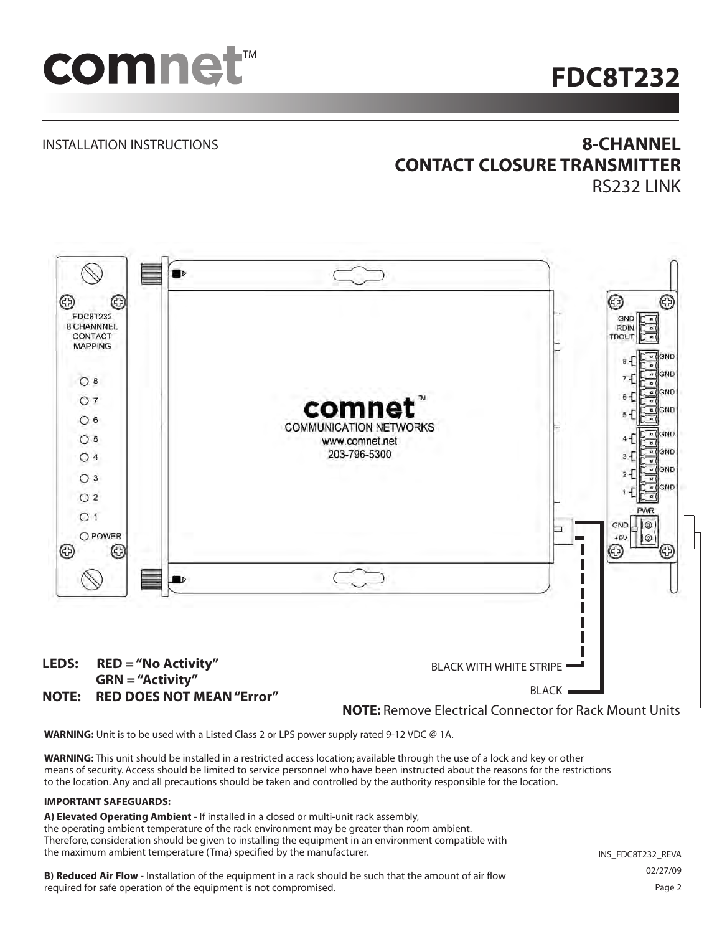

# **FDC8T232**

#### INSTALLATION INSTRUCTIONS

## **8-CHANNEL CONTACT CLOSURE TRANSMITTER**

RS232 LINK



**WARNING:** Unit is to be used with a Listed Class 2 or LPS power supply rated 9-12 VDC @ 1A.

**WARNING:** This unit should be installed in a restricted access location; available through the use of a lock and key or other means of security. Access should be limited to service personnel who have been instructed about the reasons for the restrictions to the location. Any and all precautions should be taken and controlled by the authority responsible for the location.

#### **IMPORTANT SAFEGUARDS:**

**A) Elevated Operating Ambient** - If installed in a closed or multi-unit rack assembly, the operating ambient temperature of the rack environment may be greater than room ambient. Therefore, consideration should be given to installing the equipment in an environment compatible with the maximum ambient temperature (Tma) specified by the manufacturer.

**B) Reduced Air Flow** - Installation of the equipment in a rack should be such that the amount of air flow required for safe operation of the equipment is not compromised.

INS\_FDC8T232\_REVA 02/27/09 Page 2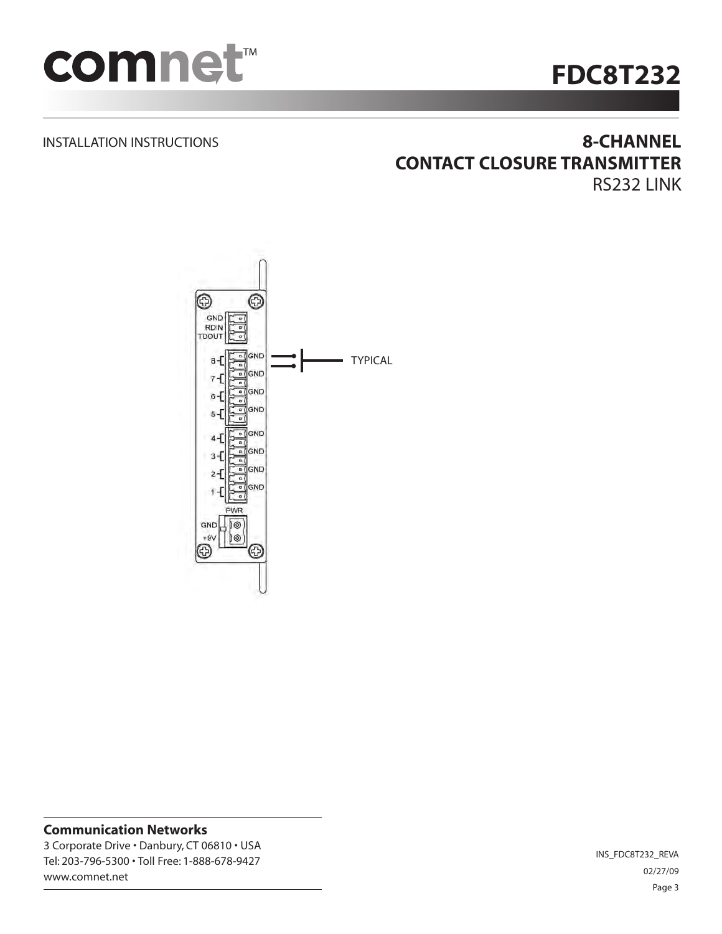

# **FDC8T232**

#### INSTALLATION INSTRUCTIONS

### **8-CHANNEL CONTACT CLOSURE TRANSMITTER** RS232 LINK



#### **Communication Networks**

3 Corporate Drive • Danbury, CT 06810 • USA Tel: 203-796-5300 • Toll Free: 1-888-678-9427 www.comnet.net

INS\_FDC8T232\_REVA 02/27/09 Page 3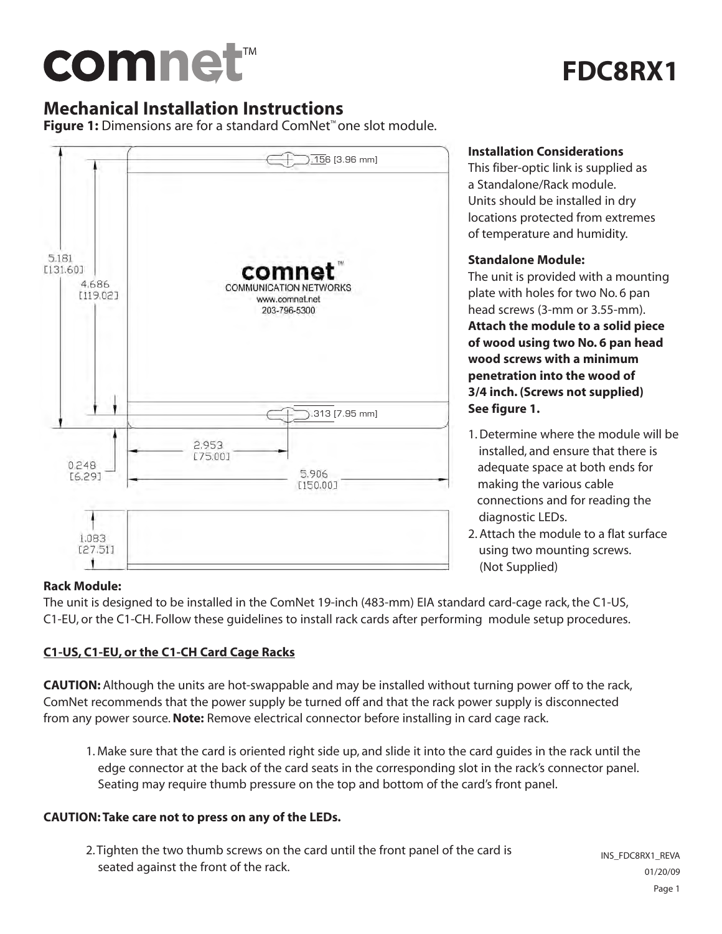# comnet™

# **FDC8RX1**

## **Mechanical Installation Instructions**

**Figure 1:** Dimensions are for a standard ComNet™ one slot module.



#### **Installation Considerations**

This fiber-optic link is supplied as a Standalone/Rack module. Units should be installed in dry locations protected from extremes of temperature and humidity.

#### **Standalone Module:**

The unit is provided with a mounting plate with holes for two No. 6 pan head screws (3-mm or 3.55-mm).

**Attach the module to a solid piece of wood using two No. 6 pan head wood screws with a minimum penetration into the wood of 3/4 inch. (Screws not supplied) See figure 1.**

- 1. Determine where the module will be installed, and ensure that there is adequate space at both ends for making the various cable connections and for reading the diagnostic LEDs.
- 2. Attach the module to a flat surface using two mounting screws. (Not Supplied)

#### **Rack Module:**

The unit is designed to be installed in the ComNet 19-inch (483-mm) EIA standard card-cage rack, the C1-US, C1-EU, or the C1-CH. Follow these guidelines to install rack cards after performing module setup procedures.

#### **C1-US, C1-EU, or the C1-CH Card Cage Racks**

**CAUTION:** Although the units are hot-swappable and may be installed without turning power off to the rack, ComNet recommends that the power supply be turned off and that the rack power supply is disconnected from any power source.**Note:** Remove electrical connector before installing in card cage rack.

1. Make sure that the card is oriented right side up, and slide it into the card guides in the rack until the edge connector at the back of the card seats in the corresponding slot in the rack's connector panel. Seating may require thumb pressure on the top and bottom of the card's front panel.

#### **CAUTION: Take care not to press on any of the LEDs.**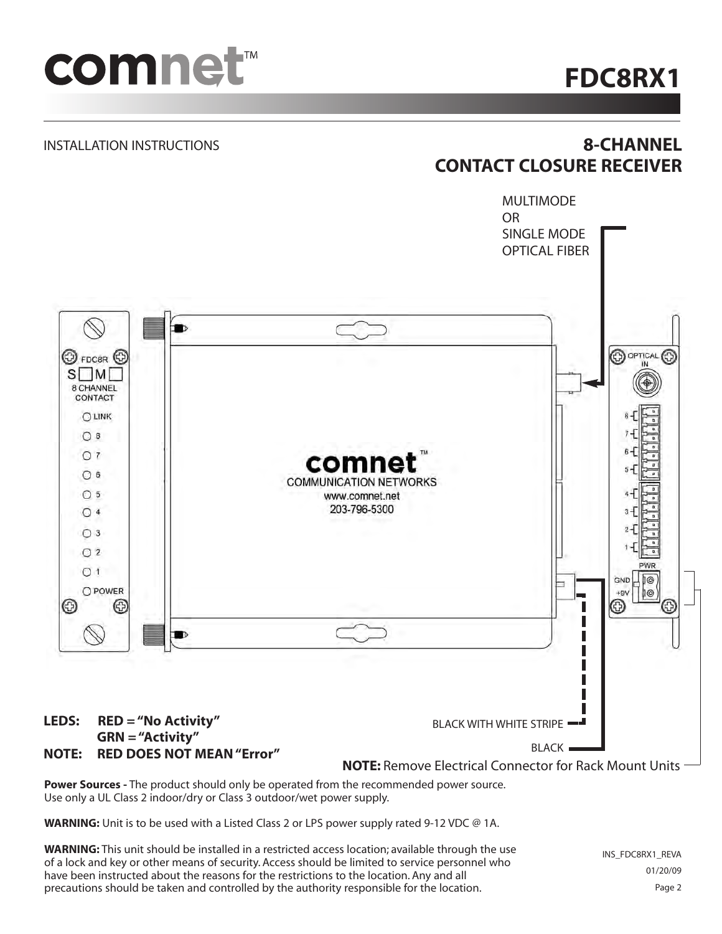

**FDC8RX1**

#### INSTALLATION INSTRUCTIONS

## **8-CHANNEL CONTACT CLOSURE RECEIVER**



Use only a UL Class 2 indoor/dry or Class 3 outdoor/wet power supply.

**WARNING:** Unit is to be used with a Listed Class 2 or LPS power supply rated 9-12 VDC @ 1A.

**WARNING:** This unit should be installed in a restricted access location; available through the use of a lock and key or other means of security. Access should be limited to service personnel who have been instructed about the reasons for the restrictions to the location. Any and all precautions should be taken and controlled by the authority responsible for the location.

INS\_FDC8RX1\_REVA 01/20/09 Page 2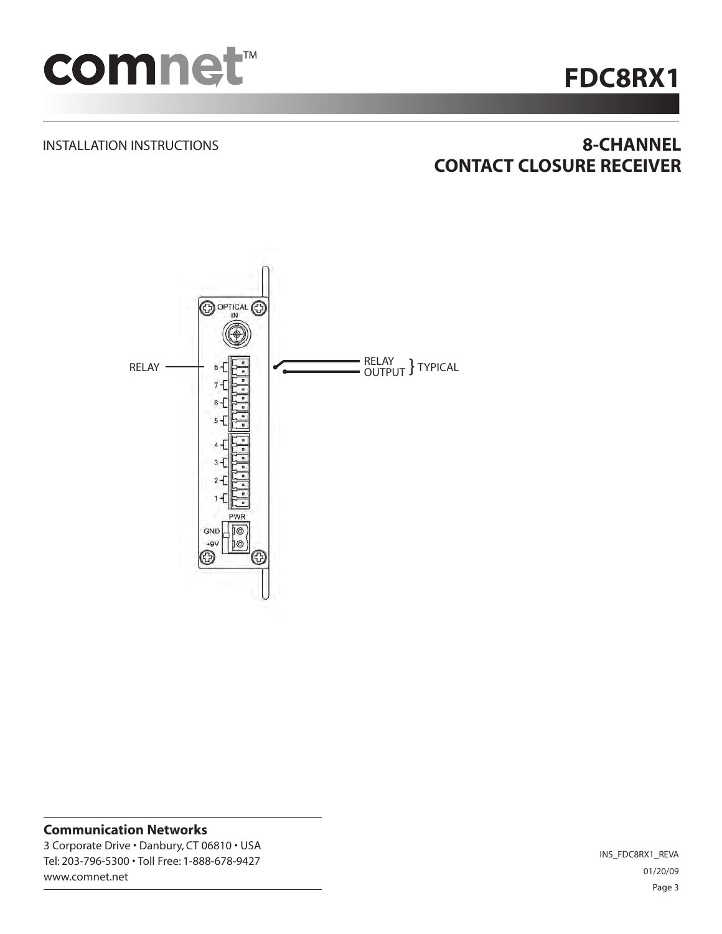

# **FDC8RX1**

#### INSTALLATION INSTRUCTIONS

## **8-CHANNEL CONTACT CLOSURE RECEIVER**



### **Communication Networks** 3 Corporate Drive • Danbury, CT 06810 • USA

Tel: 203-796-5300 • Toll Free: 1-888-678-9427 www.comnet.net

INS\_FDC8RX1\_REVA 01/20/09 Page 3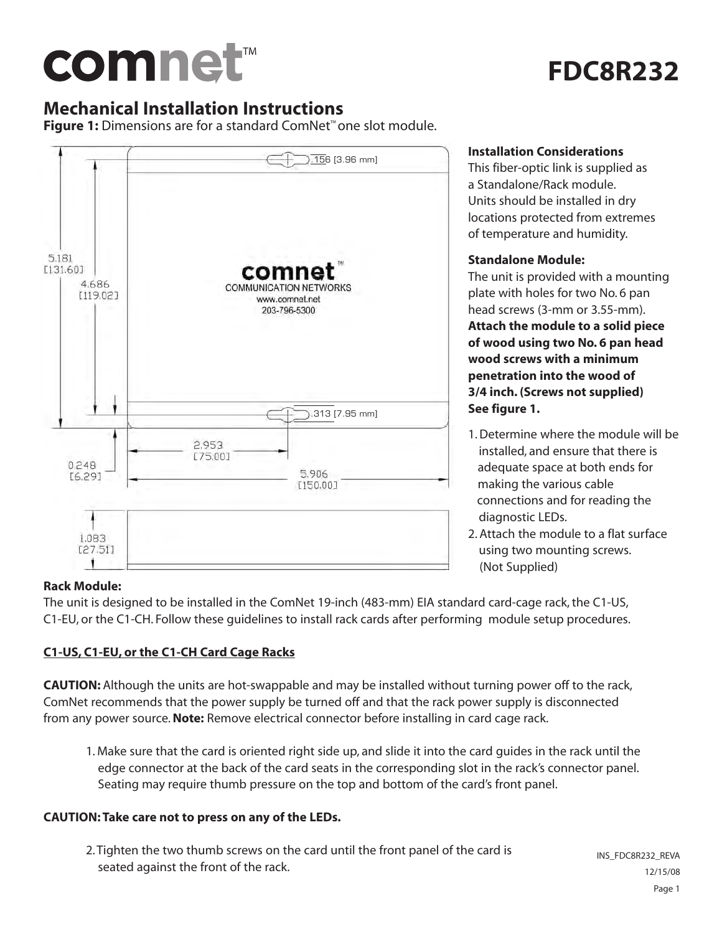# comnet™

## **FDC8R232**

## **Mechanical Installation Instructions**

**Figure 1:** Dimensions are for a standard ComNet™ one slot module.



#### **Installation Considerations**

This fiber-optic link is supplied as a Standalone/Rack module. Units should be installed in dry locations protected from extremes of temperature and humidity.

#### **Standalone Module:**

The unit is provided with a mounting plate with holes for two No. 6 pan head screws (3-mm or 3.55-mm).

**Attach the module to a solid piece of wood using two No. 6 pan head wood screws with a minimum penetration into the wood of 3/4 inch. (Screws not supplied) See figure 1.**

- 1. Determine where the module will be installed, and ensure that there is adequate space at both ends for making the various cable connections and for reading the diagnostic LEDs.
- 2. Attach the module to a flat surface using two mounting screws. (Not Supplied)

#### **Rack Module:**

The unit is designed to be installed in the ComNet 19-inch (483-mm) EIA standard card-cage rack, the C1-US, C1-EU, or the C1-CH. Follow these guidelines to install rack cards after performing module setup procedures.

#### **C1-US, C1-EU, or the C1-CH Card Cage Racks**

**CAUTION:** Although the units are hot-swappable and may be installed without turning power off to the rack, ComNet recommends that the power supply be turned off and that the rack power supply is disconnected from any power source.**Note:** Remove electrical connector before installing in card cage rack.

1. Make sure that the card is oriented right side up, and slide it into the card guides in the rack until the edge connector at the back of the card seats in the corresponding slot in the rack's connector panel. Seating may require thumb pressure on the top and bottom of the card's front panel.

#### **CAUTION: Take care not to press on any of the LEDs.**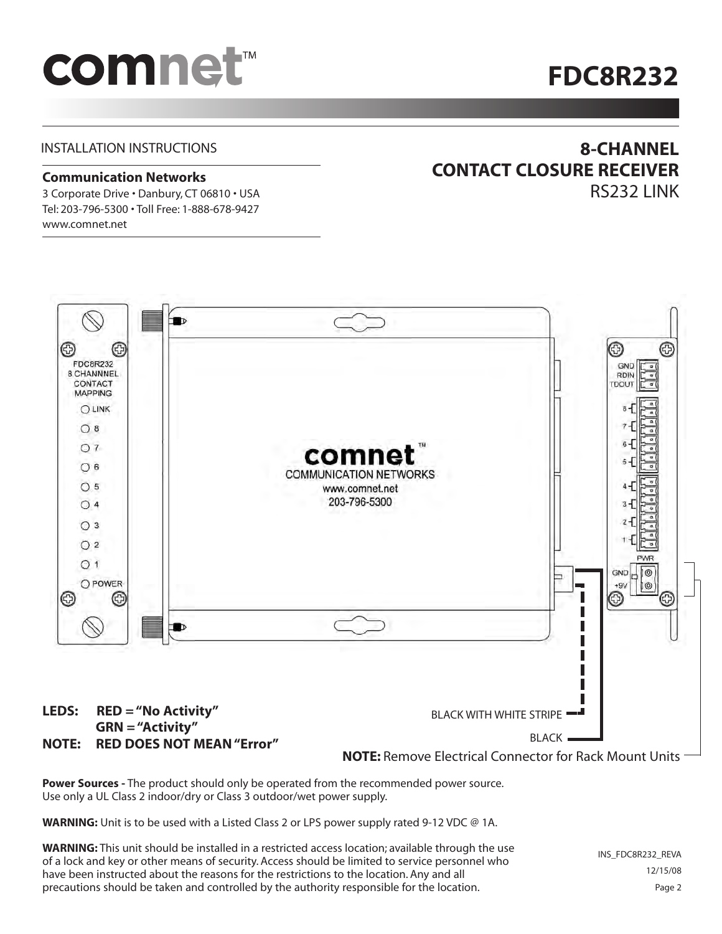# comnet<sup>™</sup>

## **FDC8R232**

#### INSTALLATION INSTRUCTIONS

#### **Communication Networks**

3 Corporate Drive • Danbury, CT 06810 • USA Tel: 203-796-5300 • Toll Free: 1-888-678-9427 www.comnet.net

### **8-CHANNEL CONTACT CLOSURE RECEIVER** RS232 LINK

 $\blacksquare$ ⊕ ⊚ G Œ FDC8R232 GND 8 CHANNNEL **RDIN** CONTACT TDOUT **MAPPING** OLINK  $O_8$  $O7$ comne  $O<sub>6</sub>$ **COMMUNICATION NETWORKS**  $O<sub>5</sub>$ www.comnet.net 203-796-5300  $O<sub>4</sub>$  $O<sub>3</sub>$  $O<sub>2</sub>$  $O<sub>1</sub>$ GND  $\circledcirc$ ∍ O POWER ·gv 1© ⊛ O ⊕ **D** BLACK WITH WHITE STRIPE

**LEDS: RED = "No Activity" GRN = "Activity" NOTE: RED DOES NOT MEAN "Error"**

**NOTE:** Remove Electrical Connector for Rack Mount Units

BLACK .

**Power Sources -** The product should only be operated from the recommended power source. Use only a UL Class 2 indoor/dry or Class 3 outdoor/wet power supply.

**WARNING:** Unit is to be used with a Listed Class 2 or LPS power supply rated 9-12 VDC @ 1A.

**WARNING:** This unit should be installed in a restricted access location; available through the use of a lock and key or other means of security. Access should be limited to service personnel who have been instructed about the reasons for the restrictions to the location. Any and all precautions should be taken and controlled by the authority responsible for the location.